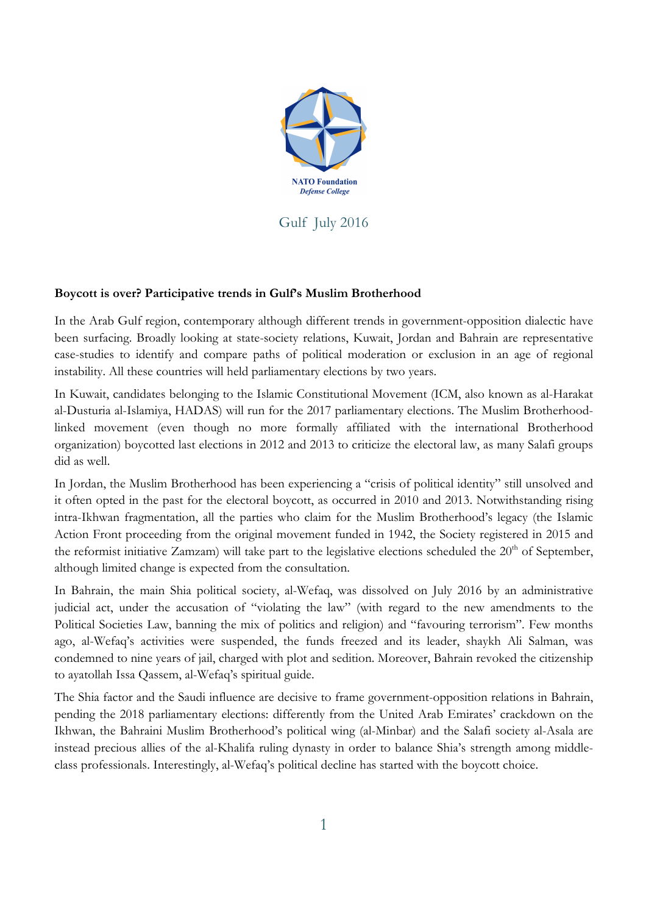

Gulf July 2016

## **Boycott is over? Participative trends in Gulf's Muslim Brotherhood**

In the Arab Gulf region, contemporary although different trends in government-opposition dialectic have been surfacing. Broadly looking at state-society relations, Kuwait, Jordan and Bahrain are representative case-studies to identify and compare paths of political moderation or exclusion in an age of regional instability. All these countries will held parliamentary elections by two years.

In Kuwait, candidates belonging to the Islamic Constitutional Movement (ICM, also known as al-Harakat al-Dusturia al-Islamiya, HADAS) will run for the 2017 parliamentary elections. The Muslim Brotherhoodlinked movement (even though no more formally affiliated with the international Brotherhood organization) boycotted last elections in 2012 and 2013 to criticize the electoral law, as many Salafi groups did as well.

In Jordan, the Muslim Brotherhood has been experiencing a "crisis of political identity" still unsolved and it often opted in the past for the electoral boycott, as occurred in 2010 and 2013. Notwithstanding rising intra-Ikhwan fragmentation, all the parties who claim for the Muslim Brotherhood's legacy (the Islamic Action Front proceeding from the original movement funded in 1942, the Society registered in 2015 and the reformist initiative Zamzam) will take part to the legislative elections scheduled the  $20<sup>th</sup>$  of September, although limited change is expected from the consultation.

In Bahrain, the main Shia political society, al-Wefaq, was dissolved on July 2016 by an administrative judicial act, under the accusation of "violating the law" (with regard to the new amendments to the Political Societies Law, banning the mix of politics and religion) and "favouring terrorism". Few months ago, al-Wefaq's activities were suspended, the funds freezed and its leader, shaykh Ali Salman, was condemned to nine years of jail, charged with plot and sedition. Moreover, Bahrain revoked the citizenship to ayatollah Issa Qassem, al-Wefaq's spiritual guide.

The Shia factor and the Saudi influence are decisive to frame government-opposition relations in Bahrain, pending the 2018 parliamentary elections: differently from the United Arab Emirates' crackdown on the Ikhwan, the Bahraini Muslim Brotherhood's political wing (al-Minbar) and the Salafi society al-Asala are instead precious allies of the al-Khalifa ruling dynasty in order to balance Shia's strength among middleclass professionals. Interestingly, al-Wefaq's political decline has started with the boycott choice.